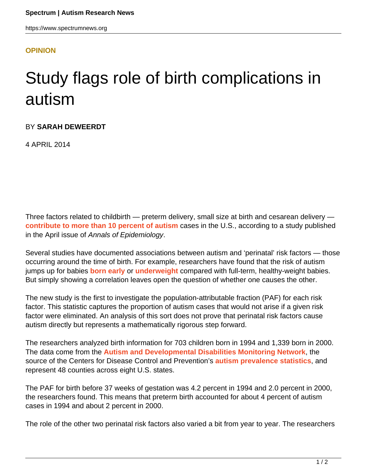## **[OPINION](HTTPS://WWW.SPECTRUMNEWS.ORG/OPINION/)**

## Study flags role of birth complications in autism

BY **SARAH DEWEERDT**

4 APRIL 2014

Three factors related to childbirth — preterm delivery, small size at birth and cesarean delivery **[contribute to more than 10 percent of autism](http://www.ncbi.nlm.nih.gov/pubmed/24529515)** cases in the U.S., according to a study published in the April issue of Annals of Epidemiology.

Several studies have documented associations between autism and 'perinatal' risk factors — those occurring around the time of birth. For example, researchers have found that the risk of autism jumps up for babies **[born early](https://www.spectrumnews.org/in-brief/2012/clinical-research-premature-birth-raises-risk-of-autism)** or **[underweight](https://www.spectrumnews.org/news/2011/autism-rates-higher-among-adults-with-low-birth-weight)** compared with full-term, healthy-weight babies. But simply showing a correlation leaves open the question of whether one causes the other.

The new study is the first to investigate the population-attributable fraction (PAF) for each risk factor. This statistic captures the proportion of autism cases that would not arise if a given risk factor were eliminated. An analysis of this sort does not prove that perinatal risk factors cause autism directly but represents a mathematically rigorous step forward.

The researchers analyzed birth information for 703 children born in 1994 and 1,339 born in 2000. The data come from the **[Autism and Developmental Disabilities Monitoring Network](http://www.cdc.gov/ncbddd/autism/addm.html)**, the source of the Centers for Disease Control and Prevention's **[autism prevalence statistics](http://www.cdc.gov/ncbddd/autism/data.html)**, and represent 48 counties across eight U.S. states.

The PAF for birth before 37 weeks of gestation was 4.2 percent in 1994 and 2.0 percent in 2000, the researchers found. This means that preterm birth accounted for about 4 percent of autism cases in 1994 and about 2 percent in 2000.

The role of the other two perinatal risk factors also varied a bit from year to year. The researchers